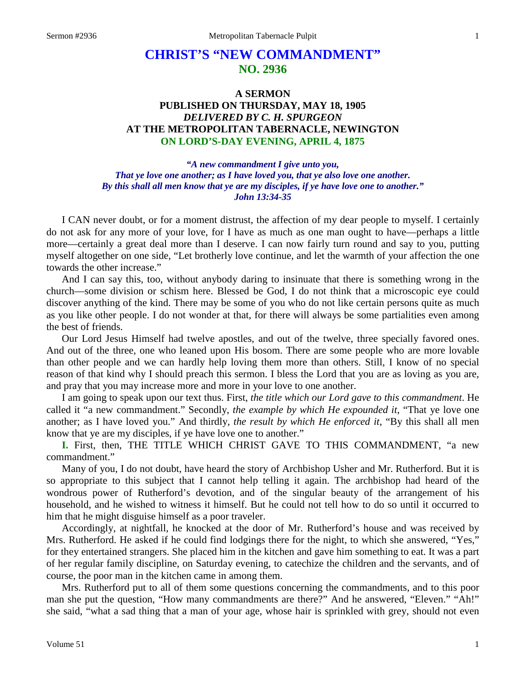# **CHRIST'S "NEW COMMANDMENT" NO. 2936**

## **A SERMON PUBLISHED ON THURSDAY, MAY 18, 1905** *DELIVERED BY C. H. SPURGEON* **AT THE METROPOLITAN TABERNACLE, NEWINGTON ON LORD'S-DAY EVENING, APRIL 4, 1875**

*"A new commandment I give unto you, That ye love one another; as I have loved you, that ye also love one another. By this shall all men know that ye are my disciples, if ye have love one to another." John 13:34-35*

I CAN never doubt, or for a moment distrust, the affection of my dear people to myself. I certainly do not ask for any more of your love, for I have as much as one man ought to have—perhaps a little more—certainly a great deal more than I deserve. I can now fairly turn round and say to you, putting myself altogether on one side, "Let brotherly love continue, and let the warmth of your affection the one towards the other increase."

And I can say this, too, without anybody daring to insinuate that there is something wrong in the church—some division or schism here. Blessed be God, I do not think that a microscopic eye could discover anything of the kind. There may be some of you who do not like certain persons quite as much as you like other people. I do not wonder at that, for there will always be some partialities even among the best of friends.

Our Lord Jesus Himself had twelve apostles, and out of the twelve, three specially favored ones. And out of the three, one who leaned upon His bosom. There are some people who are more lovable than other people and we can hardly help loving them more than others. Still, I know of no special reason of that kind why I should preach this sermon. I bless the Lord that you are as loving as you are, and pray that you may increase more and more in your love to one another.

I am going to speak upon our text thus. First, *the title which our Lord gave to this commandment*. He called it "a new commandment." Secondly, *the example by which He expounded it*, "That ye love one another; as I have loved you." And thirdly, *the result by which He enforced it*, "By this shall all men know that ye are my disciples, if ye have love one to another."

**I.** First, then, THE TITLE WHICH CHRIST GAVE TO THIS COMMANDMENT, "a new commandment."

Many of you, I do not doubt, have heard the story of Archbishop Usher and Mr. Rutherford. But it is so appropriate to this subject that I cannot help telling it again. The archbishop had heard of the wondrous power of Rutherford's devotion, and of the singular beauty of the arrangement of his household, and he wished to witness it himself. But he could not tell how to do so until it occurred to him that he might disguise himself as a poor traveler.

Accordingly, at nightfall, he knocked at the door of Mr. Rutherford's house and was received by Mrs. Rutherford. He asked if he could find lodgings there for the night, to which she answered, "Yes," for they entertained strangers. She placed him in the kitchen and gave him something to eat. It was a part of her regular family discipline, on Saturday evening, to catechize the children and the servants, and of course, the poor man in the kitchen came in among them.

Mrs. Rutherford put to all of them some questions concerning the commandments, and to this poor man she put the question, "How many commandments are there?" And he answered, "Eleven." "Ah!" she said, "what a sad thing that a man of your age, whose hair is sprinkled with grey, should not even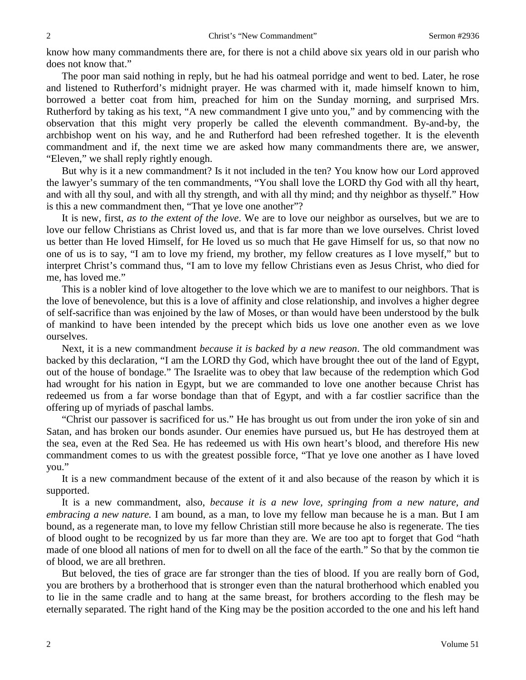know how many commandments there are, for there is not a child above six years old in our parish who does not know that."

The poor man said nothing in reply, but he had his oatmeal porridge and went to bed. Later, he rose and listened to Rutherford's midnight prayer. He was charmed with it, made himself known to him, borrowed a better coat from him, preached for him on the Sunday morning, and surprised Mrs. Rutherford by taking as his text, "A new commandment I give unto you," and by commencing with the observation that this might very properly be called the eleventh commandment. By-and-by, the archbishop went on his way, and he and Rutherford had been refreshed together. It is the eleventh commandment and if, the next time we are asked how many commandments there are, we answer, "Eleven," we shall reply rightly enough.

But why is it a new commandment? Is it not included in the ten? You know how our Lord approved the lawyer's summary of the ten commandments, "You shall love the LORD thy God with all thy heart, and with all thy soul, and with all thy strength, and with all thy mind; and thy neighbor as thyself." How is this a new commandment then, "That ye love one another"?

It is new, first, *as to the extent of the love*. We are to love our neighbor as ourselves, but we are to love our fellow Christians as Christ loved us, and that is far more than we love ourselves. Christ loved us better than He loved Himself, for He loved us so much that He gave Himself for us, so that now no one of us is to say, "I am to love my friend, my brother, my fellow creatures as I love myself," but to interpret Christ's command thus, "I am to love my fellow Christians even as Jesus Christ, who died for me, has loved me."

This is a nobler kind of love altogether to the love which we are to manifest to our neighbors. That is the love of benevolence, but this is a love of affinity and close relationship, and involves a higher degree of self-sacrifice than was enjoined by the law of Moses, or than would have been understood by the bulk of mankind to have been intended by the precept which bids us love one another even as we love ourselves.

Next, it is a new commandment *because it is backed by a new reason*. The old commandment was backed by this declaration, "I am the LORD thy God, which have brought thee out of the land of Egypt, out of the house of bondage." The Israelite was to obey that law because of the redemption which God had wrought for his nation in Egypt, but we are commanded to love one another because Christ has redeemed us from a far worse bondage than that of Egypt, and with a far costlier sacrifice than the offering up of myriads of paschal lambs.

"Christ our passover is sacrificed for us." He has brought us out from under the iron yoke of sin and Satan, and has broken our bonds asunder. Our enemies have pursued us, but He has destroyed them at the sea, even at the Red Sea. He has redeemed us with His own heart's blood, and therefore His new commandment comes to us with the greatest possible force, "That ye love one another as I have loved you."

It is a new commandment because of the extent of it and also because of the reason by which it is supported.

It is a new commandment, also, *because it is a new love, springing from a new nature, and embracing a new nature.* I am bound, as a man, to love my fellow man because he is a man. But I am bound, as a regenerate man, to love my fellow Christian still more because he also is regenerate. The ties of blood ought to be recognized by us far more than they are. We are too apt to forget that God "hath made of one blood all nations of men for to dwell on all the face of the earth." So that by the common tie of blood, we are all brethren.

But beloved, the ties of grace are far stronger than the ties of blood. If you are really born of God, you are brothers by a brotherhood that is stronger even than the natural brotherhood which enabled you to lie in the same cradle and to hang at the same breast, for brothers according to the flesh may be eternally separated. The right hand of the King may be the position accorded to the one and his left hand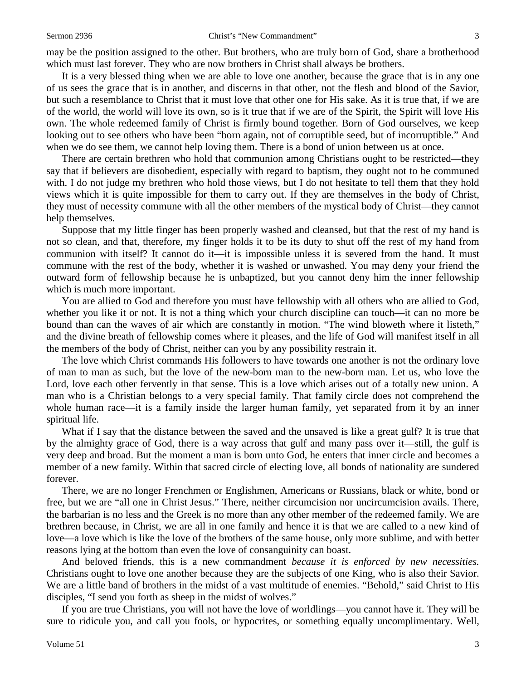may be the position assigned to the other. But brothers, who are truly born of God, share a brotherhood which must last forever. They who are now brothers in Christ shall always be brothers.

It is a very blessed thing when we are able to love one another, because the grace that is in any one of us sees the grace that is in another, and discerns in that other, not the flesh and blood of the Savior, but such a resemblance to Christ that it must love that other one for His sake. As it is true that, if we are of the world, the world will love its own, so is it true that if we are of the Spirit, the Spirit will love His own. The whole redeemed family of Christ is firmly bound together. Born of God ourselves, we keep looking out to see others who have been "born again, not of corruptible seed, but of incorruptible." And when we do see them, we cannot help loving them. There is a bond of union between us at once.

There are certain brethren who hold that communion among Christians ought to be restricted—they say that if believers are disobedient, especially with regard to baptism, they ought not to be communed with. I do not judge my brethren who hold those views, but I do not hesitate to tell them that they hold views which it is quite impossible for them to carry out. If they are themselves in the body of Christ, they must of necessity commune with all the other members of the mystical body of Christ—they cannot help themselves.

Suppose that my little finger has been properly washed and cleansed, but that the rest of my hand is not so clean, and that, therefore, my finger holds it to be its duty to shut off the rest of my hand from communion with itself? It cannot do it—it is impossible unless it is severed from the hand. It must commune with the rest of the body, whether it is washed or unwashed. You may deny your friend the outward form of fellowship because he is unbaptized, but you cannot deny him the inner fellowship which is much more important.

You are allied to God and therefore you must have fellowship with all others who are allied to God, whether you like it or not. It is not a thing which your church discipline can touch—it can no more be bound than can the waves of air which are constantly in motion. "The wind bloweth where it listeth," and the divine breath of fellowship comes where it pleases, and the life of God will manifest itself in all the members of the body of Christ, neither can you by any possibility restrain it.

The love which Christ commands His followers to have towards one another is not the ordinary love of man to man as such, but the love of the new-born man to the new-born man. Let us, who love the Lord, love each other fervently in that sense. This is a love which arises out of a totally new union. A man who is a Christian belongs to a very special family. That family circle does not comprehend the whole human race—it is a family inside the larger human family, yet separated from it by an inner spiritual life.

What if I say that the distance between the saved and the unsaved is like a great gulf? It is true that by the almighty grace of God, there is a way across that gulf and many pass over it—still, the gulf is very deep and broad. But the moment a man is born unto God, he enters that inner circle and becomes a member of a new family. Within that sacred circle of electing love, all bonds of nationality are sundered forever.

There, we are no longer Frenchmen or Englishmen, Americans or Russians, black or white, bond or free, but we are "all one in Christ Jesus." There, neither circumcision nor uncircumcision avails. There, the barbarian is no less and the Greek is no more than any other member of the redeemed family. We are brethren because, in Christ, we are all in one family and hence it is that we are called to a new kind of love—a love which is like the love of the brothers of the same house, only more sublime, and with better reasons lying at the bottom than even the love of consanguinity can boast.

And beloved friends, this is a new commandment *because it is enforced by new necessities.*  Christians ought to love one another because they are the subjects of one King, who is also their Savior. We are a little band of brothers in the midst of a vast multitude of enemies. "Behold," said Christ to His disciples, "I send you forth as sheep in the midst of wolves."

If you are true Christians, you will not have the love of worldlings—you cannot have it. They will be sure to ridicule you, and call you fools, or hypocrites, or something equally uncomplimentary. Well,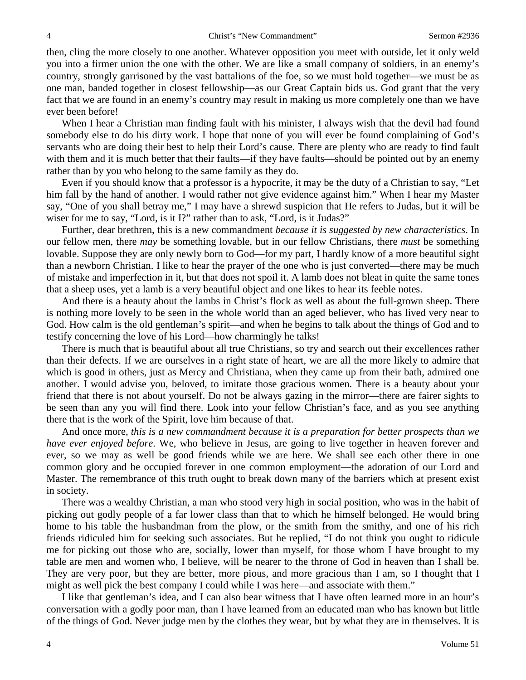then, cling the more closely to one another. Whatever opposition you meet with outside, let it only weld you into a firmer union the one with the other. We are like a small company of soldiers, in an enemy's country, strongly garrisoned by the vast battalions of the foe, so we must hold together—we must be as one man, banded together in closest fellowship—as our Great Captain bids us. God grant that the very fact that we are found in an enemy's country may result in making us more completely one than we have ever been before!

When I hear a Christian man finding fault with his minister, I always wish that the devil had found somebody else to do his dirty work. I hope that none of you will ever be found complaining of God's servants who are doing their best to help their Lord's cause. There are plenty who are ready to find fault with them and it is much better that their faults—if they have faults—should be pointed out by an enemy rather than by you who belong to the same family as they do.

Even if you should know that a professor is a hypocrite, it may be the duty of a Christian to say, "Let him fall by the hand of another. I would rather not give evidence against him." When I hear my Master say, "One of you shall betray me," I may have a shrewd suspicion that He refers to Judas, but it will be wiser for me to say, "Lord, is it I?" rather than to ask, "Lord, is it Judas?"

Further, dear brethren, this is a new commandment *because it is suggested by new characteristics*. In our fellow men, there *may* be something lovable, but in our fellow Christians, there *must* be something lovable. Suppose they are only newly born to God—for my part, I hardly know of a more beautiful sight than a newborn Christian. I like to hear the prayer of the one who is just converted—there may be much of mistake and imperfection in it, but that does not spoil it. A lamb does not bleat in quite the same tones that a sheep uses, yet a lamb is a very beautiful object and one likes to hear its feeble notes.

And there is a beauty about the lambs in Christ's flock as well as about the full-grown sheep. There is nothing more lovely to be seen in the whole world than an aged believer, who has lived very near to God. How calm is the old gentleman's spirit—and when he begins to talk about the things of God and to testify concerning the love of his Lord—how charmingly he talks!

There is much that is beautiful about all true Christians, so try and search out their excellences rather than their defects. If we are ourselves in a right state of heart, we are all the more likely to admire that which is good in others, just as Mercy and Christiana, when they came up from their bath, admired one another. I would advise you, beloved, to imitate those gracious women. There is a beauty about your friend that there is not about yourself. Do not be always gazing in the mirror—there are fairer sights to be seen than any you will find there. Look into your fellow Christian's face, and as you see anything there that is the work of the Spirit, love him because of that.

And once more, *this is a new commandment because it is a preparation for better prospects than we have ever enjoyed before*. We, who believe in Jesus, are going to live together in heaven forever and ever, so we may as well be good friends while we are here. We shall see each other there in one common glory and be occupied forever in one common employment—the adoration of our Lord and Master. The remembrance of this truth ought to break down many of the barriers which at present exist in society.

There was a wealthy Christian, a man who stood very high in social position, who was in the habit of picking out godly people of a far lower class than that to which he himself belonged. He would bring home to his table the husbandman from the plow, or the smith from the smithy, and one of his rich friends ridiculed him for seeking such associates. But he replied, "I do not think you ought to ridicule me for picking out those who are, socially, lower than myself, for those whom I have brought to my table are men and women who, I believe, will be nearer to the throne of God in heaven than I shall be. They are very poor, but they are better, more pious, and more gracious than I am, so I thought that I might as well pick the best company I could while I was here—and associate with them."

I like that gentleman's idea, and I can also bear witness that I have often learned more in an hour's conversation with a godly poor man, than I have learned from an educated man who has known but little of the things of God. Never judge men by the clothes they wear, but by what they are in themselves. It is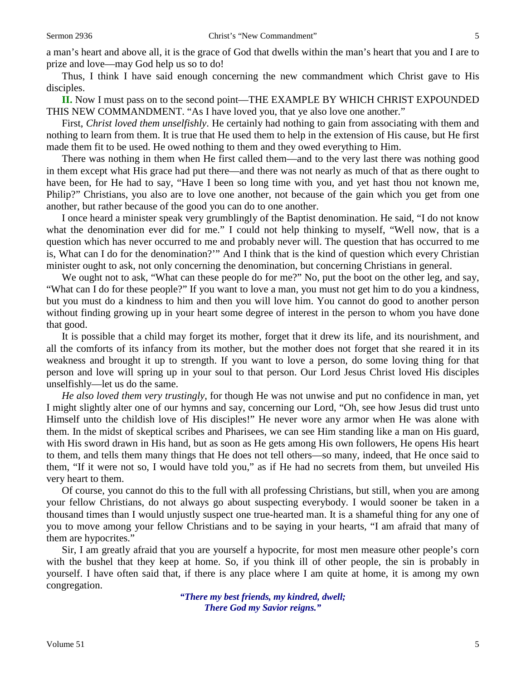Thus, I think I have said enough concerning the new commandment which Christ gave to His disciples.

**II.** Now I must pass on to the second point—THE EXAMPLE BY WHICH CHRIST EXPOUNDED THIS NEW COMMANDMENT. "As I have loved you, that ye also love one another."

First, *Christ loved them unselfishly*. He certainly had nothing to gain from associating with them and nothing to learn from them. It is true that He used them to help in the extension of His cause, but He first made them fit to be used. He owed nothing to them and they owed everything to Him.

There was nothing in them when He first called them—and to the very last there was nothing good in them except what His grace had put there—and there was not nearly as much of that as there ought to have been, for He had to say, "Have I been so long time with you, and yet hast thou not known me, Philip?" Christians, you also are to love one another, not because of the gain which you get from one another, but rather because of the good you can do to one another.

I once heard a minister speak very grumblingly of the Baptist denomination. He said, "I do not know what the denomination ever did for me." I could not help thinking to myself, "Well now, that is a question which has never occurred to me and probably never will. The question that has occurred to me is, What can I do for the denomination?'" And I think that is the kind of question which every Christian minister ought to ask, not only concerning the denomination, but concerning Christians in general.

We ought not to ask, "What can these people do for me?" No, put the boot on the other leg, and say, "What can I do for these people?" If you want to love a man, you must not get him to do you a kindness, but you must do a kindness to him and then you will love him. You cannot do good to another person without finding growing up in your heart some degree of interest in the person to whom you have done that good.

It is possible that a child may forget its mother, forget that it drew its life, and its nourishment, and all the comforts of its infancy from its mother, but the mother does not forget that she reared it in its weakness and brought it up to strength. If you want to love a person, do some loving thing for that person and love will spring up in your soul to that person. Our Lord Jesus Christ loved His disciples unselfishly—let us do the same.

*He also loved them very trustingly*, for though He was not unwise and put no confidence in man, yet I might slightly alter one of our hymns and say, concerning our Lord, "Oh, see how Jesus did trust unto Himself unto the childish love of His disciples!" He never wore any armor when He was alone with them. In the midst of skeptical scribes and Pharisees, we can see Him standing like a man on His guard, with His sword drawn in His hand, but as soon as He gets among His own followers, He opens His heart to them, and tells them many things that He does not tell others—so many, indeed, that He once said to them, "If it were not so, I would have told you," as if He had no secrets from them, but unveiled His very heart to them.

Of course, you cannot do this to the full with all professing Christians, but still, when you are among your fellow Christians, do not always go about suspecting everybody. I would sooner be taken in a thousand times than I would unjustly suspect one true-hearted man. It is a shameful thing for any one of you to move among your fellow Christians and to be saying in your hearts, "I am afraid that many of them are hypocrites."

Sir, I am greatly afraid that you are yourself a hypocrite, for most men measure other people's corn with the bushel that they keep at home. So, if you think ill of other people, the sin is probably in yourself. I have often said that, if there is any place where I am quite at home, it is among my own congregation.

> *"There my best friends, my kindred, dwell; There God my Savior reigns."*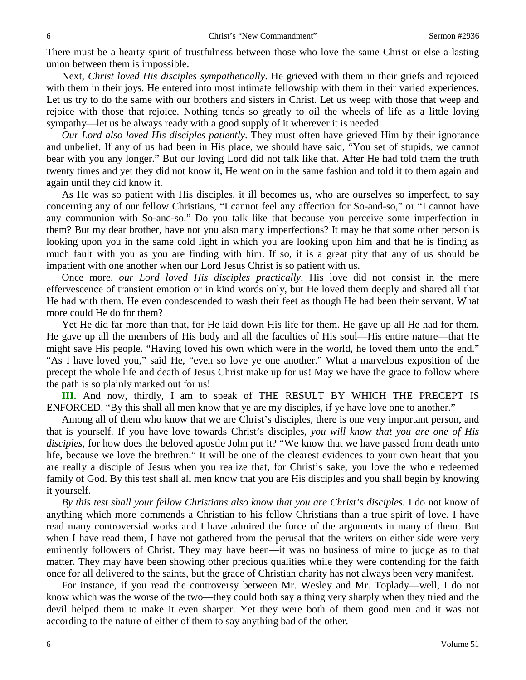There must be a hearty spirit of trustfulness between those who love the same Christ or else a lasting union between them is impossible.

Next, *Christ loved His disciples sympathetically*. He grieved with them in their griefs and rejoiced with them in their joys. He entered into most intimate fellowship with them in their varied experiences. Let us try to do the same with our brothers and sisters in Christ. Let us weep with those that weep and rejoice with those that rejoice. Nothing tends so greatly to oil the wheels of life as a little loving sympathy—let us be always ready with a good supply of it wherever it is needed.

*Our Lord also loved His disciples patiently*. They must often have grieved Him by their ignorance and unbelief. If any of us had been in His place, we should have said, "You set of stupids, we cannot bear with you any longer." But our loving Lord did not talk like that. After He had told them the truth twenty times and yet they did not know it, He went on in the same fashion and told it to them again and again until they did know it.

As He was so patient with His disciples, it ill becomes us, who are ourselves so imperfect, to say concerning any of our fellow Christians, "I cannot feel any affection for So-and-so," or "I cannot have any communion with So-and-so." Do you talk like that because you perceive some imperfection in them? But my dear brother, have not you also many imperfections? It may be that some other person is looking upon you in the same cold light in which you are looking upon him and that he is finding as much fault with you as you are finding with him. If so, it is a great pity that any of us should be impatient with one another when our Lord Jesus Christ is so patient with us.

Once more, *our Lord loved His disciples practically*. His love did not consist in the mere effervescence of transient emotion or in kind words only, but He loved them deeply and shared all that He had with them. He even condescended to wash their feet as though He had been their servant. What more could He do for them?

Yet He did far more than that, for He laid down His life for them. He gave up all He had for them. He gave up all the members of His body and all the faculties of His soul—His entire nature—that He might save His people. "Having loved his own which were in the world, he loved them unto the end." "As I have loved you," said He, "even so love ye one another." What a marvelous exposition of the precept the whole life and death of Jesus Christ make up for us! May we have the grace to follow where the path is so plainly marked out for us!

**III.** And now, thirdly, I am to speak of THE RESULT BY WHICH THE PRECEPT IS ENFORCED. "By this shall all men know that ye are my disciples, if ye have love one to another."

Among all of them who know that we are Christ's disciples, there is one very important person, and that is yourself. If you have love towards Christ's disciples, *you will know that you are one of His disciples*, for how does the beloved apostle John put it? "We know that we have passed from death unto life, because we love the brethren." It will be one of the clearest evidences to your own heart that you are really a disciple of Jesus when you realize that, for Christ's sake, you love the whole redeemed family of God. By this test shall all men know that you are His disciples and you shall begin by knowing it yourself.

*By this test shall your fellow Christians also know that you are Christ's disciples.* I do not know of anything which more commends a Christian to his fellow Christians than a true spirit of love. I have read many controversial works and I have admired the force of the arguments in many of them. But when I have read them, I have not gathered from the perusal that the writers on either side were very eminently followers of Christ. They may have been—it was no business of mine to judge as to that matter. They may have been showing other precious qualities while they were contending for the faith once for all delivered to the saints, but the grace of Christian charity has not always been very manifest.

For instance, if you read the controversy between Mr. Wesley and Mr. Toplady—well, I do not know which was the worse of the two—they could both say a thing very sharply when they tried and the devil helped them to make it even sharper. Yet they were both of them good men and it was not according to the nature of either of them to say anything bad of the other.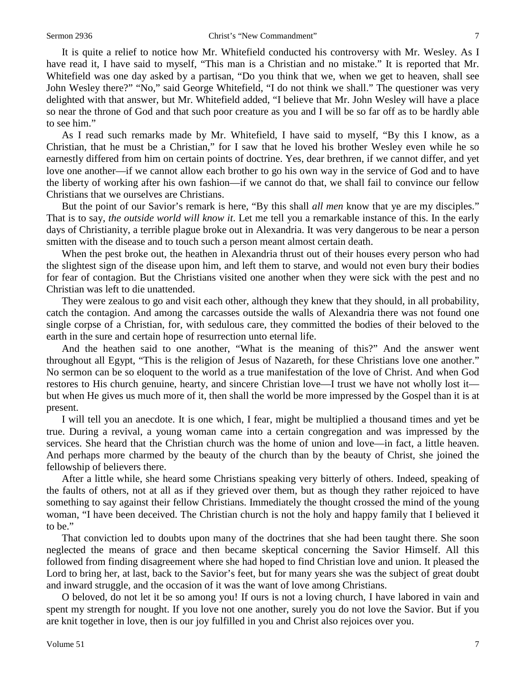It is quite a relief to notice how Mr. Whitefield conducted his controversy with Mr. Wesley. As I have read it, I have said to myself, "This man is a Christian and no mistake." It is reported that Mr. Whitefield was one day asked by a partisan, "Do you think that we, when we get to heaven, shall see John Wesley there?" "No," said George Whitefield, "I do not think we shall." The questioner was very delighted with that answer, but Mr. Whitefield added, "I believe that Mr. John Wesley will have a place so near the throne of God and that such poor creature as you and I will be so far off as to be hardly able to see him."

As I read such remarks made by Mr. Whitefield, I have said to myself, "By this I know, as a Christian, that he must be a Christian," for I saw that he loved his brother Wesley even while he so earnestly differed from him on certain points of doctrine. Yes, dear brethren, if we cannot differ, and yet love one another—if we cannot allow each brother to go his own way in the service of God and to have the liberty of working after his own fashion—if we cannot do that, we shall fail to convince our fellow Christians that we ourselves are Christians.

But the point of our Savior's remark is here, "By this shall *all men* know that ye are my disciples." That is to say, *the outside world will know it*. Let me tell you a remarkable instance of this. In the early days of Christianity, a terrible plague broke out in Alexandria. It was very dangerous to be near a person smitten with the disease and to touch such a person meant almost certain death.

When the pest broke out, the heathen in Alexandria thrust out of their houses every person who had the slightest sign of the disease upon him, and left them to starve, and would not even bury their bodies for fear of contagion. But the Christians visited one another when they were sick with the pest and no Christian was left to die unattended.

They were zealous to go and visit each other, although they knew that they should, in all probability, catch the contagion. And among the carcasses outside the walls of Alexandria there was not found one single corpse of a Christian, for, with sedulous care, they committed the bodies of their beloved to the earth in the sure and certain hope of resurrection unto eternal life.

And the heathen said to one another, "What is the meaning of this?" And the answer went throughout all Egypt, "This is the religion of Jesus of Nazareth, for these Christians love one another." No sermon can be so eloquent to the world as a true manifestation of the love of Christ. And when God restores to His church genuine, hearty, and sincere Christian love—I trust we have not wholly lost it but when He gives us much more of it, then shall the world be more impressed by the Gospel than it is at present.

I will tell you an anecdote. It is one which, I fear, might be multiplied a thousand times and yet be true. During a revival, a young woman came into a certain congregation and was impressed by the services. She heard that the Christian church was the home of union and love—in fact, a little heaven. And perhaps more charmed by the beauty of the church than by the beauty of Christ, she joined the fellowship of believers there.

After a little while, she heard some Christians speaking very bitterly of others. Indeed, speaking of the faults of others, not at all as if they grieved over them, but as though they rather rejoiced to have something to say against their fellow Christians. Immediately the thought crossed the mind of the young woman, "I have been deceived. The Christian church is not the holy and happy family that I believed it to be."

That conviction led to doubts upon many of the doctrines that she had been taught there. She soon neglected the means of grace and then became skeptical concerning the Savior Himself. All this followed from finding disagreement where she had hoped to find Christian love and union. It pleased the Lord to bring her, at last, back to the Savior's feet, but for many years she was the subject of great doubt and inward struggle, and the occasion of it was the want of love among Christians.

O beloved, do not let it be so among you! If ours is not a loving church, I have labored in vain and spent my strength for nought. If you love not one another, surely you do not love the Savior. But if you are knit together in love, then is our joy fulfilled in you and Christ also rejoices over you.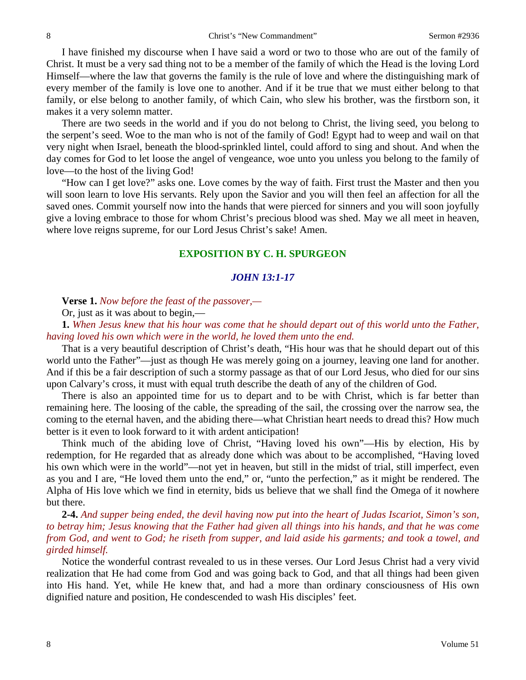I have finished my discourse when I have said a word or two to those who are out of the family of Christ. It must be a very sad thing not to be a member of the family of which the Head is the loving Lord Himself—where the law that governs the family is the rule of love and where the distinguishing mark of every member of the family is love one to another. And if it be true that we must either belong to that family, or else belong to another family, of which Cain, who slew his brother, was the firstborn son, it makes it a very solemn matter.

There are two seeds in the world and if you do not belong to Christ, the living seed, you belong to the serpent's seed. Woe to the man who is not of the family of God! Egypt had to weep and wail on that very night when Israel, beneath the blood-sprinkled lintel, could afford to sing and shout. And when the day comes for God to let loose the angel of vengeance, woe unto you unless you belong to the family of love—to the host of the living God!

"How can I get love?" asks one. Love comes by the way of faith. First trust the Master and then you will soon learn to love His servants. Rely upon the Savior and you will then feel an affection for all the saved ones. Commit yourself now into the hands that were pierced for sinners and you will soon joyfully give a loving embrace to those for whom Christ's precious blood was shed. May we all meet in heaven, where love reigns supreme, for our Lord Jesus Christ's sake! Amen.

#### **EXPOSITION BY C. H. SPURGEON**

#### *JOHN 13:1-17*

**Verse 1.** *Now before the feast of the passover,—*

Or, just as it was about to begin,—

**1.** *When Jesus knew that his hour was come that he should depart out of this world unto the Father, having loved his own which were in the world, he loved them unto the end.* 

That is a very beautiful description of Christ's death, "His hour was that he should depart out of this world unto the Father"—just as though He was merely going on a journey, leaving one land for another. And if this be a fair description of such a stormy passage as that of our Lord Jesus, who died for our sins upon Calvary's cross, it must with equal truth describe the death of any of the children of God.

There is also an appointed time for us to depart and to be with Christ, which is far better than remaining here. The loosing of the cable, the spreading of the sail, the crossing over the narrow sea, the coming to the eternal haven, and the abiding there—what Christian heart needs to dread this? How much better is it even to look forward to it with ardent anticipation!

Think much of the abiding love of Christ, "Having loved his own"—His by election, His by redemption, for He regarded that as already done which was about to be accomplished, "Having loved his own which were in the world"—not yet in heaven, but still in the midst of trial, still imperfect, even as you and I are, "He loved them unto the end," or, "unto the perfection," as it might be rendered. The Alpha of His love which we find in eternity, bids us believe that we shall find the Omega of it nowhere but there.

**2-4.** *And supper being ended, the devil having now put into the heart of Judas Iscariot, Simon's son, to betray him; Jesus knowing that the Father had given all things into his hands, and that he was come from God, and went to God; he riseth from supper, and laid aside his garments; and took a towel, and girded himself.*

Notice the wonderful contrast revealed to us in these verses. Our Lord Jesus Christ had a very vivid realization that He had come from God and was going back to God, and that all things had been given into His hand. Yet, while He knew that, and had a more than ordinary consciousness of His own dignified nature and position, He condescended to wash His disciples' feet.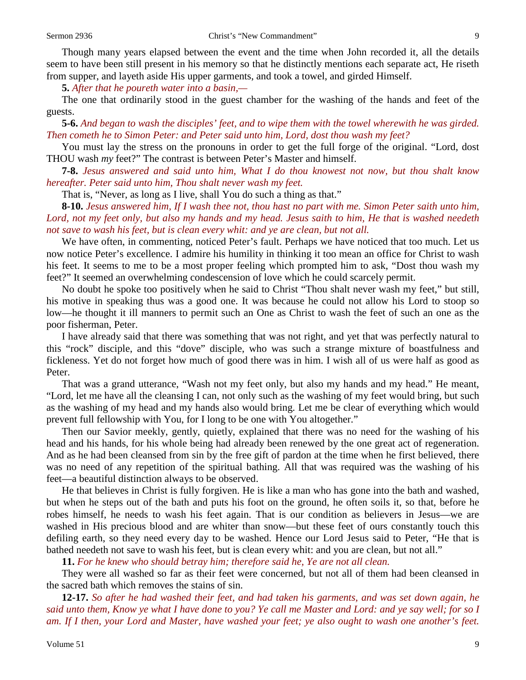Though many years elapsed between the event and the time when John recorded it, all the details seem to have been still present in his memory so that he distinctly mentions each separate act, He riseth from supper, and layeth aside His upper garments, and took a towel, and girded Himself.

**5.** *After that he poureth water into a basin,—*

The one that ordinarily stood in the guest chamber for the washing of the hands and feet of the guests.

**5-6.** *And began to wash the disciples' feet, and to wipe them with the towel wherewith he was girded. Then cometh he to Simon Peter: and Peter said unto him, Lord, dost thou wash my feet?* 

You must lay the stress on the pronouns in order to get the full forge of the original. "Lord, dost THOU wash *my* feet?" The contrast is between Peter's Master and himself.

**7-8.** *Jesus answered and said unto him, What I do thou knowest not now, but thou shalt know hereafter. Peter said unto him, Thou shalt never wash my feet.* 

That is, "Never, as long as I live, shall You do such a thing as that."

**8-10.** *Jesus answered him, If I wash thee not, thou hast no part with me. Simon Peter saith unto him, Lord, not my feet only, but also my hands and my head. Jesus saith to him, He that is washed needeth not save to wash his feet, but is clean every whit: and ye are clean, but not all.* 

We have often, in commenting, noticed Peter's fault. Perhaps we have noticed that too much. Let us now notice Peter's excellence. I admire his humility in thinking it too mean an office for Christ to wash his feet. It seems to me to be a most proper feeling which prompted him to ask, "Dost thou wash my feet?" It seemed an overwhelming condescension of love which he could scarcely permit.

No doubt he spoke too positively when he said to Christ "Thou shalt never wash my feet," but still, his motive in speaking thus was a good one. It was because he could not allow his Lord to stoop so low—he thought it ill manners to permit such an One as Christ to wash the feet of such an one as the poor fisherman, Peter.

I have already said that there was something that was not right, and yet that was perfectly natural to this "rock" disciple, and this "dove" disciple, who was such a strange mixture of boastfulness and fickleness. Yet do not forget how much of good there was in him. I wish all of us were half as good as Peter.

That was a grand utterance, "Wash not my feet only, but also my hands and my head." He meant, "Lord, let me have all the cleansing I can, not only such as the washing of my feet would bring, but such as the washing of my head and my hands also would bring. Let me be clear of everything which would prevent full fellowship with You, for I long to be one with You altogether."

Then our Savior meekly, gently, quietly, explained that there was no need for the washing of his head and his hands, for his whole being had already been renewed by the one great act of regeneration. And as he had been cleansed from sin by the free gift of pardon at the time when he first believed, there was no need of any repetition of the spiritual bathing. All that was required was the washing of his feet—a beautiful distinction always to be observed.

He that believes in Christ is fully forgiven. He is like a man who has gone into the bath and washed, but when he steps out of the bath and puts his foot on the ground, he often soils it, so that, before he robes himself, he needs to wash his feet again. That is our condition as believers in Jesus—we are washed in His precious blood and are whiter than snow—but these feet of ours constantly touch this defiling earth, so they need every day to be washed. Hence our Lord Jesus said to Peter, "He that is bathed needeth not save to wash his feet, but is clean every whit: and you are clean, but not all."

**11.** *For he knew who should betray him; therefore said he, Ye are not all clean.*

They were all washed so far as their feet were concerned, but not all of them had been cleansed in the sacred bath which removes the stains of sin.

**12-17.** *So after he had washed their feet, and had taken his garments, and was set down again, he said unto them, Know ye what I have done to you? Ye call me Master and Lord: and ye say well; for so I am. If I then, your Lord and Master, have washed your feet; ye also ought to wash one another's feet.*